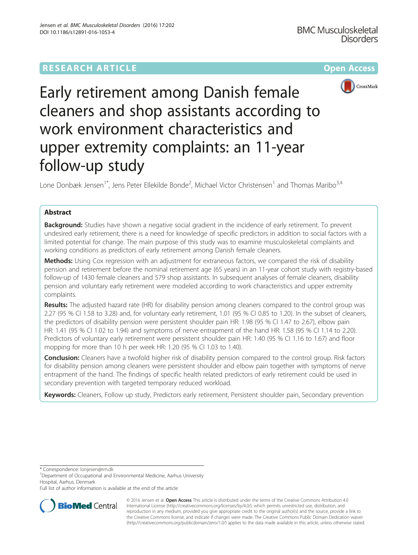# **RESEARCH ARTICLE Example 2014 12:30 The Company Access** (RESEARCH ARTICLE



Early retirement among Danish female cleaners and shop assistants according to work environment characteristics and upper extremity complaints: an 11-year follow-up study

Lone Donbæk Jensen<sup>1\*</sup>, Jens Peter Ellekilde Bonde<sup>2</sup>, Michael Victor Christensen<sup>1</sup> and Thomas Maribo<sup>3,4</sup>

# Abstract

**Background:** Studies have shown a negative social gradient in the incidence of early retirement. To prevent undesired early retirement, there is a need for knowledge of specific predictors in addition to social factors with a limited potential for change. The main purpose of this study was to examine musculoskeletal complaints and working conditions as predictors of early retirement among Danish female cleaners.

Methods: Using Cox regression with an adjustment for extraneous factors, we compared the risk of disability pension and retirement before the nominal retirement age (65 years) in an 11-year cohort study with registry-based follow-up of 1430 female cleaners and 579 shop assistants. In subsequent analyses of female cleaners, disability pension and voluntary early retirement were modeled according to work characteristics and upper extremity complaints.

Results: The adjusted hazard rate (HR) for disability pension among cleaners compared to the control group was 2.27 (95 % CI 1.58 to 3.28) and, for voluntary early retirement, 1.01 (95 % CI 0.85 to 1.20). In the subset of cleaners, the predictors of disability pension were persistent shoulder pain HR: 1.98 (95 % CI 1.47 to 2.67), elbow pain HR: 1.41 (95 % CI 1.02 to 1.94) and symptoms of nerve entrapment of the hand HR: 1.58 (95 % CI 1.14 to 2.20). Predictors of voluntary early retirement were persistent shoulder pain HR: 1.40 (95 % CI 1.16 to 1.67) and floor mopping for more than 10 h per week HR: 1.20 (95 % CI 1.03 to 1.40).

Conclusion: Cleaners have a twofold higher risk of disability pension compared to the control group. Risk factors for disability pension among cleaners were persistent shoulder and elbow pain together with symptoms of nerve entrapment of the hand. The findings of specific health related predictors of early retirement could be used in secondary prevention with targeted temporary reduced workload.

Keywords: Cleaners, Follow up study, Predictors early retirement, Persistent shoulder pain, Secondary prevention

\* Correspondence: [lonjesen@rm.dk](mailto:lonjesen@rm.dk) <sup>1</sup>

<sup>1</sup>Department of Occupational and Environmental Medicine, Aarhus University Hospital, Aarhus, Denmark

Full list of author information is available at the end of the article



© 2016 Jensen et al. Open Access This article is distributed under the terms of the Creative Commons Attribution 4.0 International License [\(http://creativecommons.org/licenses/by/4.0/](http://creativecommons.org/licenses/by/4.0/)), which permits unrestricted use, distribution, and reproduction in any medium, provided you give appropriate credit to the original author(s) and the source, provide a link to the Creative Commons license, and indicate if changes were made. The Creative Commons Public Domain Dedication waiver [\(http://creativecommons.org/publicdomain/zero/1.0/](http://creativecommons.org/publicdomain/zero/1.0/)) applies to the data made available in this article, unless otherwise stated.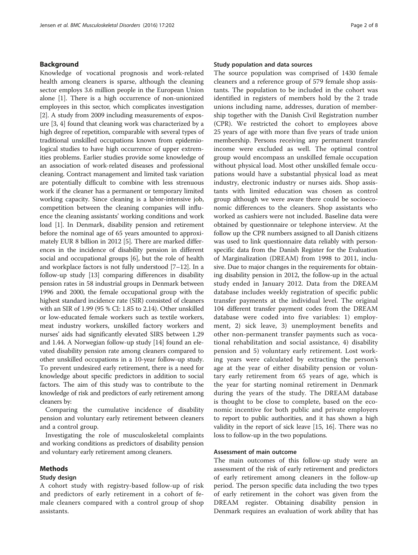### Background

Knowledge of vocational prognosis and work-related health among cleaners is sparse, although the cleaning sector employs 3.6 million people in the European Union alone [[1\]](#page-6-0). There is a high occurrence of non-unionized employees in this sector, which complicates investigation [[2\]](#page-6-0). A study from 2009 including measurements of exposure [[3, 4](#page-6-0)] found that cleaning work was characterized by a high degree of repetition, comparable with several types of traditional unskilled occupations known from epidemiological studies to have high occurrence of upper extremities problems. Earlier studies provide some knowledge of an association of work-related diseases and professional cleaning. Contract management and limited task variation are potentially difficult to combine with less strenuous work if the cleaner has a permanent or temporary limited working capacity. Since cleaning is a labor-intensive job, competition between the cleaning companies will influence the cleaning assistants' working conditions and work load [\[1](#page-6-0)]. In Denmark, disability pension and retirement before the nominal age of 65 years amounted to approximately EUR 8 billion in 2012 [[5\]](#page-6-0). There are marked differences in the incidence of disability pension in different social and occupational groups [\[6\]](#page-6-0), but the role of health and workplace factors is not fully understood [\[7](#page-6-0)–[12](#page-6-0)]. In a follow-up study [\[13\]](#page-6-0) comparing differences in disability pension rates in 58 industrial groups in Denmark between 1996 and 2000, the female occupational group with the highest standard incidence rate (SIR) consisted of cleaners with an SIR of 1.99 (95 % CI: 1.85 to 2.14). Other unskilled or low-educated female workers such as textile workers, meat industry workers, unskilled factory workers and nurses' aids had significantly elevated SIRS between 1.29 and 1.44. A Norwegian follow-up study [\[14\]](#page-6-0) found an elevated disability pension rate among cleaners compared to other unskilled occupations in a 10-year follow-up study. To prevent undesired early retirement, there is a need for knowledge about specific predictors in addition to social factors. The aim of this study was to contribute to the knowledge of risk and predictors of early retirement among cleaners by:

Comparing the cumulative incidence of disability pension and voluntary early retirement between cleaners and a control group.

Investigating the role of musculoskeletal complaints and working conditions as predictors of disability pension and voluntary early retirement among cleaners.

#### Methods

## Study design

A cohort study with registry-based follow-up of risk and predictors of early retirement in a cohort of female cleaners compared with a control group of shop assistants.

### Study population and data sources

The source population was comprised of 1430 female cleaners and a reference group of 579 female shop assistants. The population to be included in the cohort was identified in registers of members hold by the 2 trade unions including name, addresses, duration of membership together with the Danish Civil Registration number (CPR). We restricted the cohort to employees above 25 years of age with more than five years of trade union membership. Persons receiving any permanent transfer income were excluded as well. The optimal control group would encompass an unskilled female occupation without physical load. Most other unskilled female occupations would have a substantial physical load as meat industry, electronic industry or nurses aids. Shop assistants with limited education was chosen as control group although we were aware there could be socioeconomic differences to the cleaners. Shop assistants who worked as cashiers were not included. Baseline data were obtained by questionnaire or telephone interview. At the follow up the CPR numbers assigned to all Danish citizens was used to link questionnaire data reliably with personspecific data from the Danish Register for the Evaluation of Marginalization (DREAM) from 1998 to 2011, inclusive. Due to major changes in the requirements for obtaining disability pension in 2012, the follow-up in the actual study ended in January 2012. Data from the DREAM database includes weekly registration of specific public transfer payments at the individual level. The original 104 different transfer payment codes from the DREAM database were coded into five variables: 1) employment, 2) sick leave, 3) unemployment benefits and other non-permanent transfer payments such as vocational rehabilitation and social assistance, 4) disability pension and 5) voluntary early retirement. Lost working years were calculated by extracting the person's age at the year of either disability pension or voluntary early retirement from 65 years of age, which is the year for starting nominal retirement in Denmark during the years of the study. The DREAM database is thought to be close to complete, based on the economic incentive for both public and private employers to report to public authorities, and it has shown a high validity in the report of sick leave [\[15, 16\]](#page-6-0). There was no loss to follow-up in the two populations.

### Assessment of main outcome

The main outcomes of this follow-up study were an assessment of the risk of early retirement and predictors of early retirement among cleaners in the follow-up period. The person specific data including the two types of early retirement in the cohort was given from the DREAM register. Obtaining disability pension in Denmark requires an evaluation of work ability that has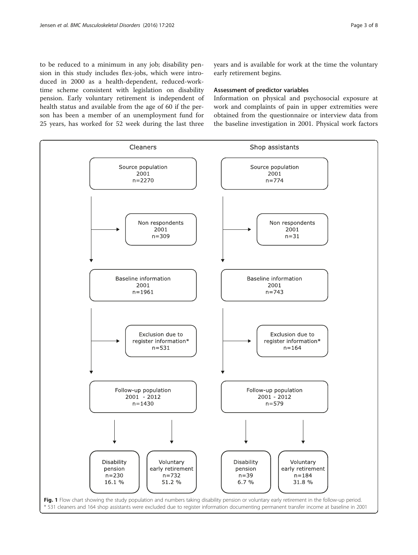<span id="page-2-0"></span>to be reduced to a minimum in any job; disability pension in this study includes flex-jobs, which were introduced in 2000 as a health-dependent, reduced-worktime scheme consistent with legislation on disability pension. Early voluntary retirement is independent of health status and available from the age of 60 if the person has been a member of an unemployment fund for 25 years, has worked for 52 week during the last three

years and is available for work at the time the voluntary early retirement begins.

#### Assessment of predictor variables

Information on physical and psychosocial exposure at work and complaints of pain in upper extremities were obtained from the questionnaire or interview data from the baseline investigation in 2001. Physical work factors

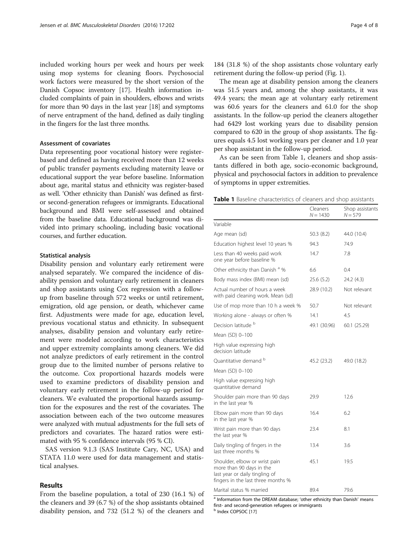included working hours per week and hours per week using mop systems for cleaning floors. Psychosocial work factors were measured by the short version of the Danish Copsoc inventory [[17](#page-6-0)]. Health information included complaints of pain in shoulders, elbows and wrists for more than 90 days in the last year [[18](#page-6-0)] and symptoms of nerve entrapment of the hand, defined as daily tingling in the fingers for the last three months.

#### Assessment of covariates

Data representing poor vocational history were registerbased and defined as having received more than 12 weeks of public transfer payments excluding maternity leave or educational support the year before baseline. Information about age, marital status and ethnicity was register-based as well. 'Other ethnicity than Danish' was defined as firstor second-generation refugees or immigrants. Educational background and BMI were self-assessed and obtained from the baseline data. Educational background was divided into primary schooling, including basic vocational courses, and further education.

### Statistical analysis

Disability pension and voluntary early retirement were analysed separately. We compared the incidence of disability pension and voluntary early retirement in cleaners and shop assistants using Cox regression with a followup from baseline through 572 weeks or until retirement, emigration, old age pension, or death, whichever came first. Adjustments were made for age, education level, previous vocational status and ethnicity. In subsequent analyses, disability pension and voluntary early retirement were modeled according to work characteristics and upper extremity complaints among cleaners. We did not analyze predictors of early retirement in the control group due to the limited number of persons relative to the outcome. Cox proportional hazards models were used to examine predictors of disability pension and voluntary early retirement in the follow-up period for cleaners. We evaluated the proportional hazards assumption for the exposures and the rest of the covariates. The association between each of the two outcome measures were analyzed with mutual adjustments for the full sets of predictors and covariates. The hazard ratios were estimated with 95 % confidence intervals (95 % CI).

SAS version 9.1.3 (SAS Institute Cary, NC, USA) and STATA 11.0 were used for data management and statistical analyses.

### Results

From the baseline population, a total of 230 (16.1 %) of the cleaners and 39 (6.7 %) of the shop assistants obtained disability pension, and 732 (51.2 %) of the cleaners and

184 (31.8 %) of the shop assistants chose voluntary early retirement during the follow-up period (Fig. [1\)](#page-2-0).

The mean age at disability pension among the cleaners was 51.5 years and, among the shop assistants, it was 49.4 years; the mean age at voluntary early retirement was 60.6 years for the cleaners and 61.0 for the shop assistants. In the follow-up period the cleaners altogether had 6429 lost working years due to disability pension compared to 620 in the group of shop assistants. The figures equals 4.5 lost working years per cleaner and 1.0 year per shop assistant in the follow-up period.

As can be seen from Table 1, cleaners and shop assistants differed in both age, socio-economic background, physical and psychosocial factors in addition to prevalence of symptoms in upper extremities.

| <b>Table 1</b> Baseline characteristics of cleaners and shop assistants |  |  |  |
|-------------------------------------------------------------------------|--|--|--|
|-------------------------------------------------------------------------|--|--|--|

|                                                                                                                                   | Cleaners<br>$N = 1430$ | Shop assistants<br>$N = 579$ |
|-----------------------------------------------------------------------------------------------------------------------------------|------------------------|------------------------------|
| Variable                                                                                                                          |                        |                              |
| Age mean (sd)                                                                                                                     | 50.3(8.2)              | 44.0 (10.4)                  |
| Education highest level 10 years %                                                                                                | 94.3                   | 74.9                         |
| Less than 40 weeks paid work<br>one year before baseline %                                                                        | 14.7                   | 7.8                          |
| Other ethnicity than Danish <sup>a</sup> %                                                                                        | 6.6                    | 0.4                          |
| Body mass index (BMI) mean (sd)                                                                                                   | 25.6(5.2)              | 24.2 (4.3)                   |
| Actual number of hours a week<br>with paid cleaning work. Mean (sd)                                                               | 28.9 (10.2)            | Not relevant                 |
| Use of mop more than 10 h a week %                                                                                                | 50.7                   | Not relevant                 |
| Working alone - always or often %                                                                                                 | 14.1                   | 4.5                          |
| Decision latitude <sup>b</sup>                                                                                                    | 49.1 (30.96)           | 60.1 (25.29)                 |
| Mean (SD) 0-100                                                                                                                   |                        |                              |
| High value expressing high<br>decision latitude                                                                                   |                        |                              |
| Quantitative demand b                                                                                                             | 45.2 (23.2)            | 49.0 (18.2)                  |
| Mean (SD) 0–100                                                                                                                   |                        |                              |
| High value expressing high<br>quantitative demand                                                                                 |                        |                              |
| Shoulder pain more than 90 days<br>in the last year %                                                                             | 29.9                   | 12.6                         |
| Elbow pain more than 90 days<br>in the last year %                                                                                | 16.4                   | 6.2                          |
| Wrist pain more than 90 days<br>the last year %                                                                                   | 23.4                   | 8.1                          |
| Daily tingling of fingers in the<br>last three months %                                                                           | 13.4                   | 3.6                          |
| Shoulder, elbow or wrist pain<br>more than 90 days in the<br>last year or daily tingling of<br>fingers in the last three months % | 45.1                   | 19.5                         |
| Marital status % married                                                                                                          | 89.4                   | 79.6                         |

a Information from the DREAM database; 'other ethnicity than Danish' means first- and second-generation refugees or immigrants

**b** Index COPSOC [[17](#page-6-0)]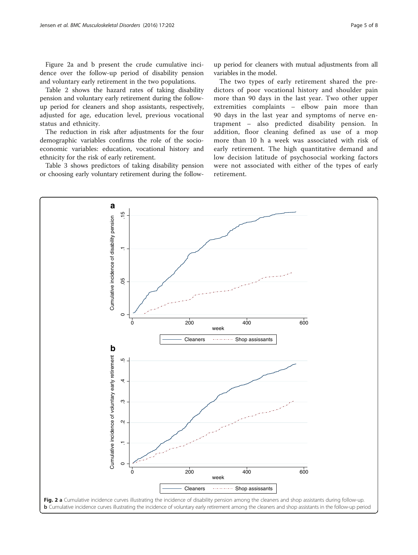Figure 2a and b present the crude cumulative incidence over the follow-up period of disability pension and voluntary early retirement in the two populations.

Table [2](#page-5-0) shows the hazard rates of taking disability pension and voluntary early retirement during the followup period for cleaners and shop assistants, respectively, adjusted for age, education level, previous vocational status and ethnicity.

The reduction in risk after adjustments for the four demographic variables confirms the role of the socioeconomic variables: education, vocational history and ethnicity for the risk of early retirement.

Table [3](#page-5-0) shows predictors of taking disability pension or choosing early voluntary retirement during the follow-

up period for cleaners with mutual adjustments from all variables in the model.

The two types of early retirement shared the predictors of poor vocational history and shoulder pain more than 90 days in the last year. Two other upper extremities complaints – elbow pain more than 90 days in the last year and symptoms of nerve entrapment – also predicted disability pension. In addition, floor cleaning defined as use of a mop more than 10 h a week was associated with risk of early retirement. The high quantitative demand and low decision latitude of psychosocial working factors were not associated with either of the types of early retirement.

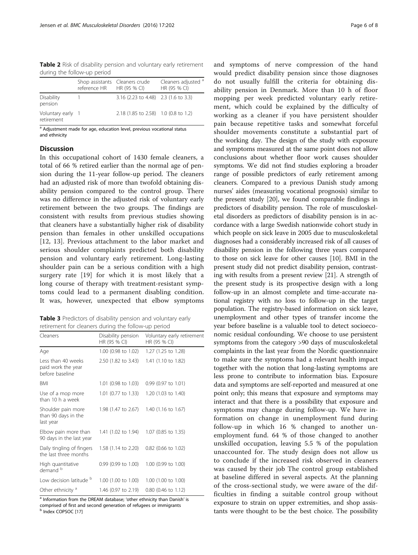during the follow-up period Shop assistants reference HR Cleaners crude HR (95 % CI) Cleaners adjusted <sup>a</sup> HR (95 % CI)

<span id="page-5-0"></span>Table 2 Risk of disability pension and voluntary early retirement

|                                 | reference HR HR (95 % CI) | Shop assistants Cleaners crude       | Cleaners adjusted<br>HR (95 % CI) |
|---------------------------------|---------------------------|--------------------------------------|-----------------------------------|
| Disability<br>pension           |                           | 3.16 (2.23 to 4.48) 2.3 (1.6 to 3.3) |                                   |
| Voluntary early 1<br>retirement |                           | 2.18 (1.85 to 2.58) 1.0 (0.8 to 1.2) |                                   |

<sup>a</sup> Adjustment made for age, education level, previous vocational status and ethnicity

### **Discussion**

In this occupational cohort of 1430 female cleaners, a total of 66 % retired earlier than the normal age of pension during the 11-year follow-up period. The cleaners had an adjusted risk of more than twofold obtaining disability pension compared to the control group. There was no difference in the adjusted risk of voluntary early retirement between the two groups. The findings are consistent with results from previous studies showing that cleaners have a substantially higher risk of disability pension than females in other unskilled occupations [[12, 13](#page-6-0)]. Previous attachment to the labor market and serious shoulder complaints predicted both disability pension and voluntary early retirement. Long-lasting shoulder pain can be a serious condition with a high surgery rate [\[19](#page-6-0)] for which it is most likely that a long course of therapy with treatment-resistant symptoms could lead to a permanent disabling condition. It was, however, unexpected that elbow symptoms

Table 3 Predictors of disability pension and voluntary early retirement for cleaners during the follow-up period

| Cleaners                                                    | Disability pension<br>HR (95 % CI) | Voluntary early retirement<br>HR (95 % CI) |
|-------------------------------------------------------------|------------------------------------|--------------------------------------------|
| Age                                                         | 1.00 (0.98 to 1.02)                | 1.27 (1.25 to 1.28)                        |
| Less than 40 weeks<br>paid work the year<br>before baseline | 2.50 (1.82 to 3.43)                | 1.41 (1.10 to 1.82)                        |
| BMI                                                         | 1.01 (0.98 to 1.03)                | 0.99 (0.97 to 1.01)                        |
| Use of a mop more<br>than 10 h a week                       | 1.01 (0.77 to 1.33)                | 1.20 (1.03 to 1.40)                        |
| Shoulder pain more<br>than 90 days in the<br>last year      | 1.98 (1.47 to 2.67)                | 1.40 (1.16 to 1.67)                        |
| Elbow pain more than<br>90 days in the last year            | 1.41 (1.02 to 1.94)                | 1.07 (0.85 to 1.35)                        |
| Daily tingling of fingers<br>the last three months          | 1.58 (1.14 to 2.20)                | 0.82 (0.66 to 1.02)                        |
| High quantitative<br>demand b                               | $0.99(0.99)$ to $1.00$ )           | 1.00 (0.99 to 1.00)                        |
| Low decision latitude b                                     | 1.00 (1.00 to 1.00)                | 1.00 (1.00 to 1.00)                        |
| Other ethnicity <sup>a</sup>                                | 1.46 (0.97 to 2.19)                | 0.80 (0.46 to 1.12)                        |

a Information from the DREAM database; 'other ethnicity than Danish' is comprised of first and second generation of refugees or immigrants

<sup>b</sup> Index COPSOC [[17](#page-6-0)]

and symptoms of nerve compression of the hand would predict disability pension since those diagnoses do not usually fulfill the criteria for obtaining disability pension in Denmark. More than 10 h of floor mopping per week predicted voluntary early retirement, which could be explained by the difficulty of working as a cleaner if you have persistent shoulder pain because repetitive tasks and somewhat forceful shoulder movements constitute a substantial part of the working day. The design of the study with exposure and symptoms measured at the same point does not allow conclusions about whether floor work causes shoulder symptoms. We did not find studies exploring a broader range of possible predictors of early retirement among cleaners. Compared to a previous Danish study among nurses' aides (measuring vocational prognosis) similar to the present study [\[20\]](#page-7-0), we found comparable findings in predictors of disability pension. The role of musculoskeletal disorders as predictors of disability pension is in accordance with a large Swedish nationwide cohort study in which people on sick leave in 2005 due to musculoskeletal diagnoses had a considerably increased risk of all causes of disability pension in the following three years compared to those on sick leave for other causes [\[10\]](#page-6-0). BMI in the present study did not predict disability pension, contrasting with results from a present review [\[21\]](#page-7-0). A strength of the present study is its prospective design with a long follow-up in an almost complete and time-accurate national registry with no loss to follow-up in the target population. The registry-based information on sick leave, unemployment and other types of transfer income the year before baseline is a valuable tool to detect socioeconomic residual confounding. We choose to use persistent symptoms from the category >90 days of musculoskeletal complaints in the last year from the Nordic questionnaire to make sure the symptoms had a relevant health impact together with the notion that long-lasting symptoms are less prone to contribute to information bias. Exposure data and symptoms are self-reported and measured at one point only; this means that exposure and symptoms may interact and that there is a possibility that exposure and symptoms may change during follow-up. We have information on change in unemployment fund during follow-up in which 16 % changed to another unemployment fund. 64 % of those changed to another unskilled occupation, leaving 5.5 % of the population unaccounted for. The study design does not allow us to conclude if the increased risk observed in cleaners was caused by their job The control group established at baseline differed in several aspects. At the planning of the cross-sectional study, we were aware of the difficulties in finding a suitable control group without exposure to strain on upper extremities, and shop assistants were thought to be the best choice. The possibility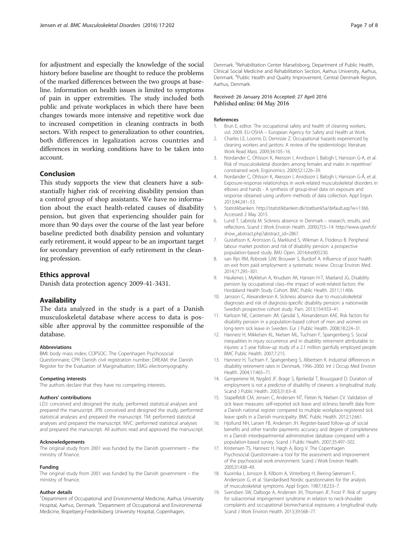<span id="page-6-0"></span>for adjustment and especially the knowledge of the social history before baseline are thought to reduce the problems of the marked differences between the two groups at baseline. Information on health issues is limited to symptoms of pain in upper extremities. The study included both public and private workplaces in which there have been changes towards more intensive and repetitive work due to increased competition in cleaning contracts in both sectors. With respect to generalization to other countries, both differences in legalization across countries and differences in working conditions have to be taken into account.

### Conclusion

This study supports the view that cleaners have a substantially higher risk of receiving disability pension than a control group of shop assistants. We have no information about the exact health-related causes of disability pension, but given that experiencing shoulder pain for more than 90 days over the course of the last year before baseline predicted both disability pension and voluntary early retirement, it would appear to be an important target for secondary prevention of early retirement in the cleaning profession.

### Ethics approval

Danish data protection agency 2009-41-3431.

### Availability

The data analyzed in the study is a part of a Danish musculoskeletal database where access to data is possible after approval by the committee responsible of the database.

#### Abbreviations

BMI: body mass index; COPSOC: The Copenhagen Psychosocial Questionnaire; CPR: Danish civil registration number; DREAM: the Danish Register for the Evaluation of Marginalisation; EMG: electromyography.

#### Competing interests

The authors declare that they have no competing interests.

#### Authors' contributions

LDJ: conceived and designed the study, performed statistical analyses and prepared the manuscript. JPB: conceived and designed the study, performed statistical analyses and prepared the manuscript. TM: performed statistical analyses and prepared the manuscript. MVC: performed statistical analyses and prepared the manuscript. All authors read and approved the manuscript.

#### Acknowledgements

The original study from 2001 was funded by the Danish government – the ministry of finance.

#### Funding

The original study from 2001 was funded by the Danish government – the ministry of finance.

#### Author details

<sup>1</sup>Department of Occupational and Environmental Medicine, Aarhus University Hospital, Aarhus, Denmark. <sup>2</sup>Department of Occupational and Environmental Medicine, Bispebjerg-Frederiksberg University Hospital, Copenhagen,

Denmark. <sup>3</sup>Rehabilitation Center Marselisborg, Department of Public Health Clinical Social Medicine and Rehabilitation Section, Aarhus University, Aarhus, Denmark. <sup>4</sup>Public Health and Quality Improvement, Central Denmark Region, Aarhus, Denmark.

### Received: 26 January 2016 Accepted: 27 April 2016 Published online: 04 May 2016

#### References

- 1. Brun E, editor. The occupational safety and health of cleaning workers, vol. 2009. EU-OSHA – European Agency for Safety and Health at Work.
- 2. Charles LE, Loomis D, Demissie Z. Occupational hazards experienced by cleaning workers and janitors: A review of the epidemiologic literature. Work Read Mass. 2009;34:105–16.
- 3. Nordander C, Ohlsson K, Akesson I, Arvidsson I, Balogh I, Hansson G-A, et al. Risk of musculoskeletal disorders among females and males in repetitive/ constrained work. Ergonomics. 2009;52:1226–39.
- 4. Nordander C, Ohlsson K, Akesson I, Arvidsson I, Balogh I, Hansson G-Å, et al. Exposure-response relationships in work-related musculoskeletal disorders in elbows and hands - A synthesis of group-level data on exposure and response obtained using uniform methods of data collection. Appl Ergon. 2013;44:241–53.
- 5. Statistikbanken. [http://statistikbanken.dk/statbank5a/default.asp?w=1366.](http://statistikbanken.dk/statbank5a/default.asp?w=1366) Accessed 2 May 2015.
- 6. Lund T, Labriola M. Sickness absence in Denmark research, results, and reflections. Scand J Work Environ Health. 2009;(7):5–14. [http://www.sjweh.fi/](http://www.sjweh.fi/show_abstract.php?abstract_id=2867) [show\\_abstract.php?abstract\\_id=2867](http://www.sjweh.fi/show_abstract.php?abstract_id=2867).
- 7. Gustafsson K, Aronsson G, Marklund S, Wikman A, Floderus B. Peripheral labour market position and risk of disability pension: a prospective population-based study. BMJ Open. 2014;4:e005230.
- 8. van Rijn RM, Robroek SJW, Brouwer S, Burdorf A. Influence of poor health on exit from paid employment: a systematic review. Occup Environ Med. 2014;71:295–301.
- 9. Haukenes I, Mykletun A, Knudsen AK, Hansen H-T, Maeland JG. Disability pension by occupational class–the impact of work-related factors: the Hordaland Health Study Cohort. BMC Public Health. 2011;11:406.
- 10. Jansson C, Alexanderson K. Sickness absence due to musculoskeletal diagnoses and risk of diagnosis-specific disability pension: a nationwide Swedish prospective cohort study. Pain. 2013;154:933–41.
- 11. Karlsson NE, Carstensen JM, Gjesdal S, Alexanderson KAE. Risk factors for disability pension in a population-based cohort of men and women on long-term sick leave in Sweden. Eur J Public Health. 2008;18:224–31.
- 12. Hannerz H, Mikkelsen KL, Nielsen ML, Tuchsen F, Spangenberg S. Social inequalities in injury occurrence and in disability retirement attributable to injuries: a 5 year follow-up study of a 2.1 million gainfully employed people. BMC Public Health. 2007;7:215.
- 13. Hannerz H, Tuchsen F, Spangenberg S, Albertsen K. Industrial differences in disability retirement rates in Denmark, 1996–2000. Int J Occup Med Environ Health. 2004;17:465–71.
- 14. Gamperiene M, Nygård JF, Brage S, Bjerkedal T, Bruusgaard D. Duration of employment is not a predictor of disability of cleaners: a longitudinal study. Scand J Public Health. 2003;31:63–8.
- 15. Stapelfeldt CM, Jensen C, Andersen NT, Fleten N, Nielsen CV. Validation of sick leave measures: self-reported sick leave and sickness benefit data from a Danish national register compared to multiple workplace-registered sick leave spells in a Danish municipality. BMC Public Health. 2012;12:661.
- 16. Hjollund NH, Larsen FB, Andersen JH. Register-based follow-up of social benefits and other transfer payments: accuracy and degree of completeness in a Danish interdepartmental administrative database compared with a population-based survey. Scand J Public Health. 2007;35:497–502.
- 17. Kristensen TS, Hannerz H, Høgh A, Borg V. The Copenhagen Psychosocial Questionnaire–a tool for the assessment and improvement of the psychosocial work environment. Scand J Work Environ Health. 2005;31:438–49.
- 18. Kuorinka I, Jonsson B, Kilbom A, Vinterberg H, Biering-Sørensen F, Andersson G, et al. Standardised Nordic questionnaires for the analysis of musculoskeletal symptoms. Appl Ergon. 1987;18:233–7.
- 19. Svendsen SW, Dalboge A, Andersen JH, Thomsen JF, Frost P. Risk of surgery for subacromial impingement syndrome in relation to neck-shoulder complaints and occupational biomechanical exposures: a longitudinal study. Scand J Work Environ Health. 2013;39:568–77.